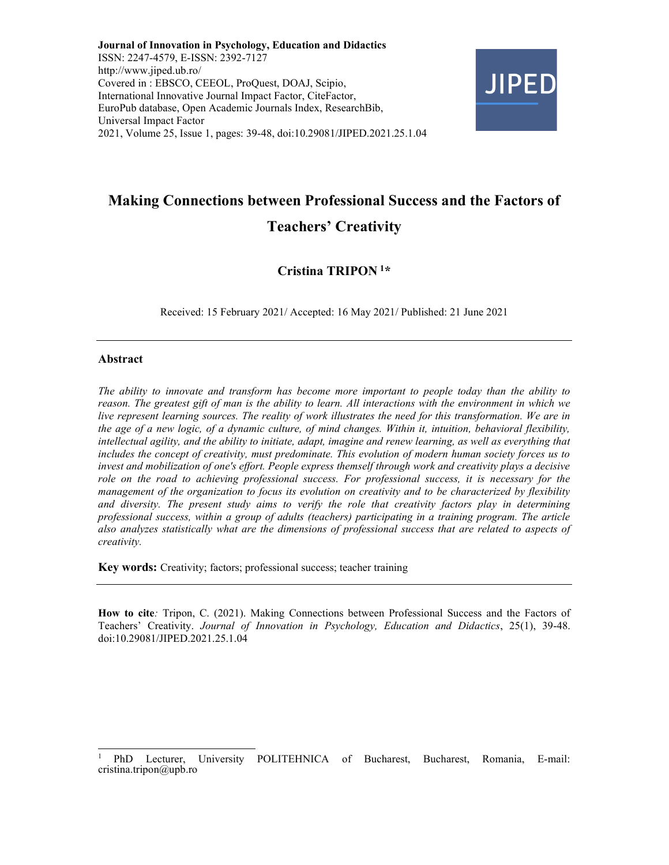Journal of Innovation in Psychology, Education and Didactics ISSN: 2247-4579, E-ISSN: 2392-7127 http://www.jiped.ub.ro/ Covered in : EBSCO, CEEOL, ProQuest, DOAJ, Scipio, International Innovative Journal Impact Factor, CiteFactor, EuroPub database, Open Academic Journals Index, ResearchBib, Universal Impact Factor 2021, Volume 25, Issue 1, pages: 39-48, doi:10.29081/JIPED.2021.25.1.04



# Making Connections between Professional Success and the Factors of Teachers' Creativity

# Cristina TRIPON<sup>1\*</sup>

Received: 15 February 2021/ Accepted: 16 May 2021/ Published: 21 June 2021

#### Abstract

The ability to innovate and transform has become more important to people today than the ability to reason. The greatest gift of man is the ability to learn. All interactions with the environment in which we live represent learning sources. The reality of work illustrates the need for this transformation. We are in the age of a new logic, of a dynamic culture, of mind changes. Within it, intuition, behavioral flexibility, intellectual agility, and the ability to initiate, adapt, imagine and renew learning, as well as everything that includes the concept of creativity, must predominate. This evolution of modern human society forces us to invest and mobilization of one's effort. People express themself through work and creativity plays a decisive role on the road to achieving professional success. For professional success, it is necessary for the management of the organization to focus its evolution on creativity and to be characterized by flexibility and diversity. The present study aims to verify the role that creativity factors play in determining professional success, within a group of adults (teachers) participating in a training program. The article also analyzes statistically what are the dimensions of professional success that are related to aspects of creativity.

Key words: Creativity; factors; professional success; teacher training

How to cite: Tripon, C. (2021). Making Connections between Professional Success and the Factors of Teachers' Creativity. Journal of Innovation in Psychology, Education and Didactics, 25(1), 39-48. doi:10.29081/JIPED.2021.25.1.04

<sup>1</sup>PhD Lecturer, University POLITEHNICA of Bucharest, Bucharest, Romania, E-mail: cristina.tripon@upb.ro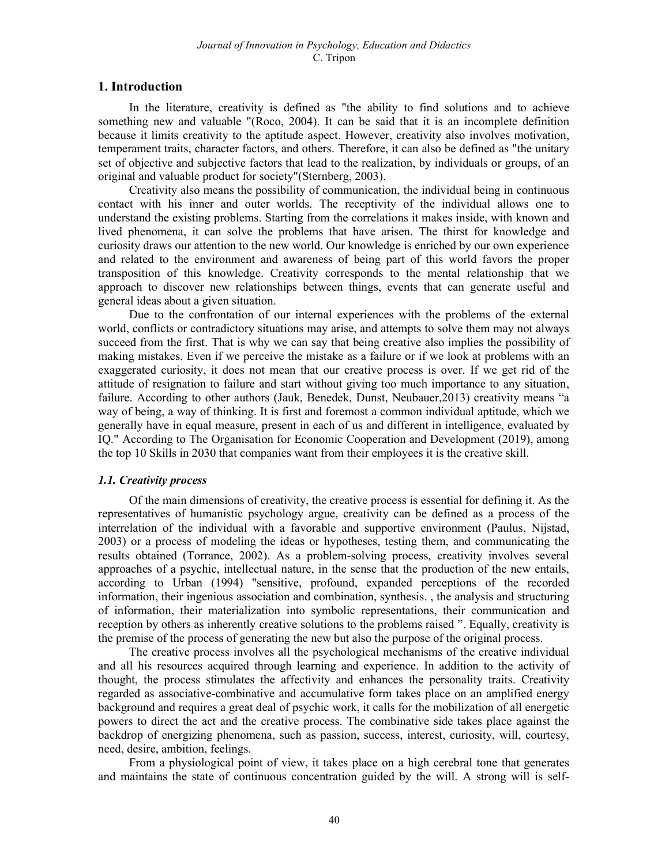## 1. Introduction

In the literature, creativity is defined as "the ability to find solutions and to achieve something new and valuable "(Roco, 2004). It can be said that it is an incomplete definition because it limits creativity to the aptitude aspect. However, creativity also involves motivation, temperament traits, character factors, and others. Therefore, it can also be defined as "the unitary set of objective and subjective factors that lead to the realization, by individuals or groups, of an original and valuable product for society"(Sternberg, 2003).

Creativity also means the possibility of communication, the individual being in continuous contact with his inner and outer worlds. The receptivity of the individual allows one to understand the existing problems. Starting from the correlations it makes inside, with known and lived phenomena, it can solve the problems that have arisen. The thirst for knowledge and curiosity draws our attention to the new world. Our knowledge is enriched by our own experience and related to the environment and awareness of being part of this world favors the proper transposition of this knowledge. Creativity corresponds to the mental relationship that we approach to discover new relationships between things, events that can generate useful and general ideas about a given situation.

Due to the confrontation of our internal experiences with the problems of the external world, conflicts or contradictory situations may arise, and attempts to solve them may not always succeed from the first. That is why we can say that being creative also implies the possibility of making mistakes. Even if we perceive the mistake as a failure or if we look at problems with an exaggerated curiosity, it does not mean that our creative process is over. If we get rid of the attitude of resignation to failure and start without giving too much importance to any situation, failure. According to other authors (Jauk, Benedek, Dunst, Neubauer,2013) creativity means "a way of being, a way of thinking. It is first and foremost a common individual aptitude, which we generally have in equal measure, present in each of us and different in intelligence, evaluated by IQ." According to The Organisation for Economic Cooperation and Development (2019), among the top 10 Skills in 2030 that companies want from their employees it is the creative skill.

#### 1.1. Creativity process

Of the main dimensions of creativity, the creative process is essential for defining it. As the representatives of humanistic psychology argue, creativity can be defined as a process of the interrelation of the individual with a favorable and supportive environment (Paulus, Nijstad, 2003) or a process of modeling the ideas or hypotheses, testing them, and communicating the results obtained (Torrance, 2002). As a problem-solving process, creativity involves several approaches of a psychic, intellectual nature, in the sense that the production of the new entails, according to Urban (1994) "sensitive, profound, expanded perceptions of the recorded information, their ingenious association and combination, synthesis. , the analysis and structuring of information, their materialization into symbolic representations, their communication and reception by others as inherently creative solutions to the problems raised ". Equally, creativity is the premise of the process of generating the new but also the purpose of the original process.

The creative process involves all the psychological mechanisms of the creative individual and all his resources acquired through learning and experience. In addition to the activity of thought, the process stimulates the affectivity and enhances the personality traits. Creativity regarded as associative-combinative and accumulative form takes place on an amplified energy background and requires a great deal of psychic work, it calls for the mobilization of all energetic powers to direct the act and the creative process. The combinative side takes place against the backdrop of energizing phenomena, such as passion, success, interest, curiosity, will, courtesy, need, desire, ambition, feelings.

From a physiological point of view, it takes place on a high cerebral tone that generates and maintains the state of continuous concentration guided by the will. A strong will is self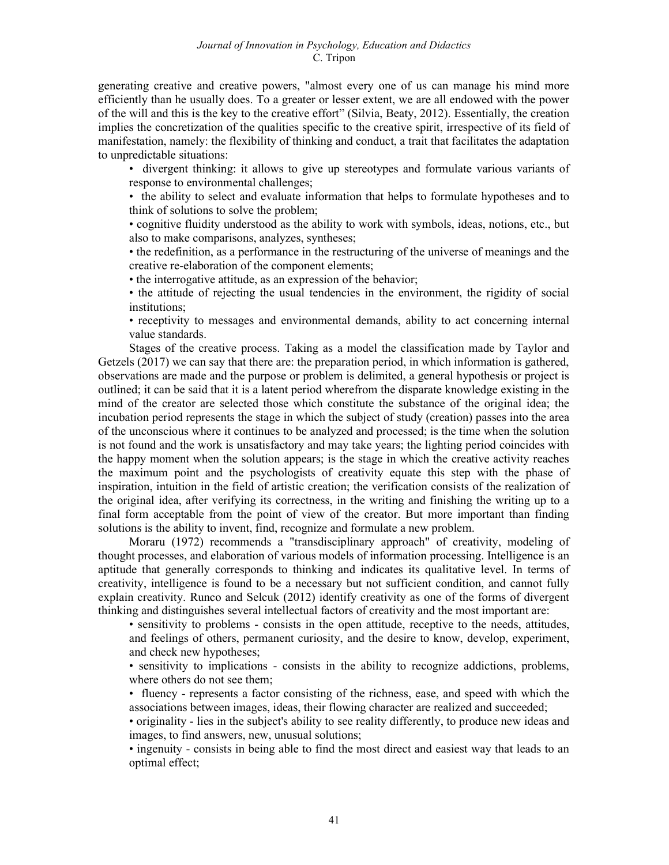generating creative and creative powers, "almost every one of us can manage his mind more efficiently than he usually does. To a greater or lesser extent, we are all endowed with the power of the will and this is the key to the creative effort" (Silvia, Beaty, 2012). Essentially, the creation implies the concretization of the qualities specific to the creative spirit, irrespective of its field of manifestation, namely: the flexibility of thinking and conduct, a trait that facilitates the adaptation to unpredictable situations:

• divergent thinking: it allows to give up stereotypes and formulate various variants of response to environmental challenges;

• the ability to select and evaluate information that helps to formulate hypotheses and to think of solutions to solve the problem;

• cognitive fluidity understood as the ability to work with symbols, ideas, notions, etc., but also to make comparisons, analyzes, syntheses;

• the redefinition, as a performance in the restructuring of the universe of meanings and the creative re-elaboration of the component elements;

• the interrogative attitude, as an expression of the behavior;

• the attitude of rejecting the usual tendencies in the environment, the rigidity of social institutions;

• receptivity to messages and environmental demands, ability to act concerning internal value standards.

Stages of the creative process. Taking as a model the classification made by Taylor and Getzels (2017) we can say that there are: the preparation period, in which information is gathered, observations are made and the purpose or problem is delimited, a general hypothesis or project is outlined; it can be said that it is a latent period wherefrom the disparate knowledge existing in the mind of the creator are selected those which constitute the substance of the original idea; the incubation period represents the stage in which the subject of study (creation) passes into the area of the unconscious where it continues to be analyzed and processed; is the time when the solution is not found and the work is unsatisfactory and may take years; the lighting period coincides with the happy moment when the solution appears; is the stage in which the creative activity reaches the maximum point and the psychologists of creativity equate this step with the phase of inspiration, intuition in the field of artistic creation; the verification consists of the realization of the original idea, after verifying its correctness, in the writing and finishing the writing up to a final form acceptable from the point of view of the creator. But more important than finding solutions is the ability to invent, find, recognize and formulate a new problem.

Moraru (1972) recommends a "transdisciplinary approach" of creativity, modeling of thought processes, and elaboration of various models of information processing. Intelligence is an aptitude that generally corresponds to thinking and indicates its qualitative level. In terms of creativity, intelligence is found to be a necessary but not sufficient condition, and cannot fully explain creativity. Runco and Selcuk (2012) identify creativity as one of the forms of divergent thinking and distinguishes several intellectual factors of creativity and the most important are:

• sensitivity to problems - consists in the open attitude, receptive to the needs, attitudes, and feelings of others, permanent curiosity, and the desire to know, develop, experiment, and check new hypotheses;

• sensitivity to implications - consists in the ability to recognize addictions, problems, where others do not see them;

• fluency - represents a factor consisting of the richness, ease, and speed with which the associations between images, ideas, their flowing character are realized and succeeded;

• originality - lies in the subject's ability to see reality differently, to produce new ideas and images, to find answers, new, unusual solutions;

• ingenuity - consists in being able to find the most direct and easiest way that leads to an optimal effect;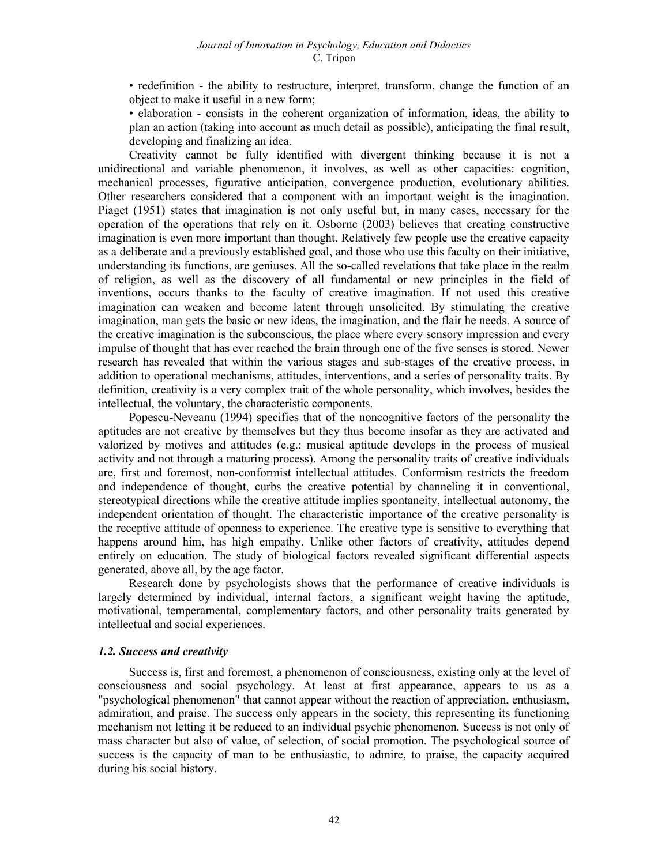• redefinition - the ability to restructure, interpret, transform, change the function of an object to make it useful in a new form;

• elaboration - consists in the coherent organization of information, ideas, the ability to plan an action (taking into account as much detail as possible), anticipating the final result, developing and finalizing an idea.

Creativity cannot be fully identified with divergent thinking because it is not a unidirectional and variable phenomenon, it involves, as well as other capacities: cognition, mechanical processes, figurative anticipation, convergence production, evolutionary abilities. Other researchers considered that a component with an important weight is the imagination. Piaget (1951) states that imagination is not only useful but, in many cases, necessary for the operation of the operations that rely on it. Osborne (2003) believes that creating constructive imagination is even more important than thought. Relatively few people use the creative capacity as a deliberate and a previously established goal, and those who use this faculty on their initiative, understanding its functions, are geniuses. All the so-called revelations that take place in the realm of religion, as well as the discovery of all fundamental or new principles in the field of inventions, occurs thanks to the faculty of creative imagination. If not used this creative imagination can weaken and become latent through unsolicited. By stimulating the creative imagination, man gets the basic or new ideas, the imagination, and the flair he needs. A source of the creative imagination is the subconscious, the place where every sensory impression and every impulse of thought that has ever reached the brain through one of the five senses is stored. Newer research has revealed that within the various stages and sub-stages of the creative process, in addition to operational mechanisms, attitudes, interventions, and a series of personality traits. By definition, creativity is a very complex trait of the whole personality, which involves, besides the intellectual, the voluntary, the characteristic components.

Popescu-Neveanu (1994) specifies that of the noncognitive factors of the personality the aptitudes are not creative by themselves but they thus become insofar as they are activated and valorized by motives and attitudes (e.g.: musical aptitude develops in the process of musical activity and not through a maturing process). Among the personality traits of creative individuals are, first and foremost, non-conformist intellectual attitudes. Conformism restricts the freedom and independence of thought, curbs the creative potential by channeling it in conventional, stereotypical directions while the creative attitude implies spontaneity, intellectual autonomy, the independent orientation of thought. The characteristic importance of the creative personality is the receptive attitude of openness to experience. The creative type is sensitive to everything that happens around him, has high empathy. Unlike other factors of creativity, attitudes depend entirely on education. The study of biological factors revealed significant differential aspects generated, above all, by the age factor.

Research done by psychologists shows that the performance of creative individuals is largely determined by individual, internal factors, a significant weight having the aptitude, motivational, temperamental, complementary factors, and other personality traits generated by intellectual and social experiences.

#### 1.2. Success and creativity

Success is, first and foremost, a phenomenon of consciousness, existing only at the level of consciousness and social psychology. At least at first appearance, appears to us as a "psychological phenomenon" that cannot appear without the reaction of appreciation, enthusiasm, admiration, and praise. The success only appears in the society, this representing its functioning mechanism not letting it be reduced to an individual psychic phenomenon. Success is not only of mass character but also of value, of selection, of social promotion. The psychological source of success is the capacity of man to be enthusiastic, to admire, to praise, the capacity acquired during his social history.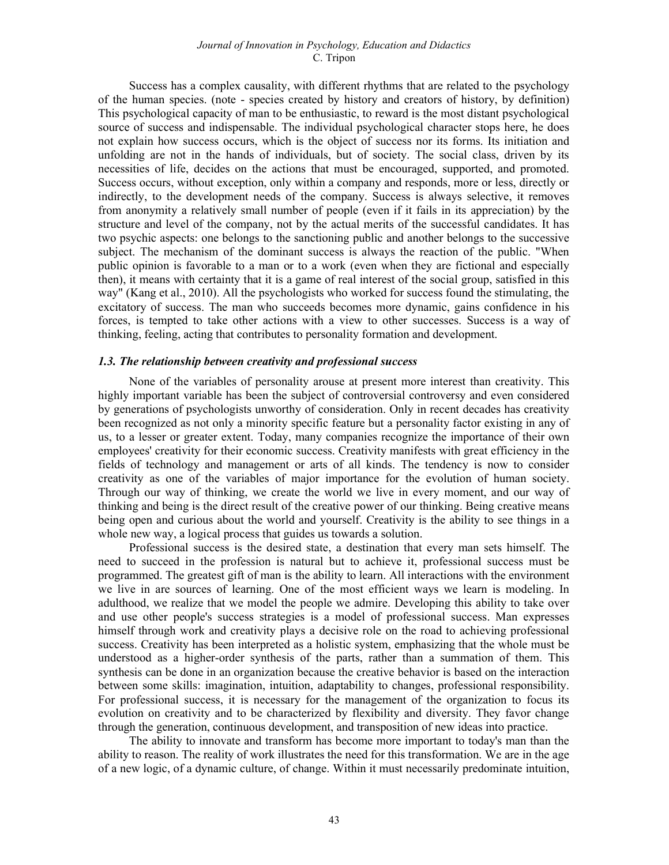#### Journal of Innovation in Psychology, Education and Didactics C. Tripon

Success has a complex causality, with different rhythms that are related to the psychology of the human species. (note - species created by history and creators of history, by definition) This psychological capacity of man to be enthusiastic, to reward is the most distant psychological source of success and indispensable. The individual psychological character stops here, he does not explain how success occurs, which is the object of success nor its forms. Its initiation and unfolding are not in the hands of individuals, but of society. The social class, driven by its necessities of life, decides on the actions that must be encouraged, supported, and promoted. Success occurs, without exception, only within a company and responds, more or less, directly or indirectly, to the development needs of the company. Success is always selective, it removes from anonymity a relatively small number of people (even if it fails in its appreciation) by the structure and level of the company, not by the actual merits of the successful candidates. It has two psychic aspects: one belongs to the sanctioning public and another belongs to the successive subject. The mechanism of the dominant success is always the reaction of the public. "When public opinion is favorable to a man or to a work (even when they are fictional and especially then), it means with certainty that it is a game of real interest of the social group, satisfied in this way" (Kang et al., 2010). All the psychologists who worked for success found the stimulating, the excitatory of success. The man who succeeds becomes more dynamic, gains confidence in his forces, is tempted to take other actions with a view to other successes. Success is a way of thinking, feeling, acting that contributes to personality formation and development.

## 1.3. The relationship between creativity and professional success

None of the variables of personality arouse at present more interest than creativity. This highly important variable has been the subject of controversial controversy and even considered by generations of psychologists unworthy of consideration. Only in recent decades has creativity been recognized as not only a minority specific feature but a personality factor existing in any of us, to a lesser or greater extent. Today, many companies recognize the importance of their own employees' creativity for their economic success. Creativity manifests with great efficiency in the fields of technology and management or arts of all kinds. The tendency is now to consider creativity as one of the variables of major importance for the evolution of human society. Through our way of thinking, we create the world we live in every moment, and our way of thinking and being is the direct result of the creative power of our thinking. Being creative means being open and curious about the world and yourself. Creativity is the ability to see things in a whole new way, a logical process that guides us towards a solution.

Professional success is the desired state, a destination that every man sets himself. The need to succeed in the profession is natural but to achieve it, professional success must be programmed. The greatest gift of man is the ability to learn. All interactions with the environment we live in are sources of learning. One of the most efficient ways we learn is modeling. In adulthood, we realize that we model the people we admire. Developing this ability to take over and use other people's success strategies is a model of professional success. Man expresses himself through work and creativity plays a decisive role on the road to achieving professional success. Creativity has been interpreted as a holistic system, emphasizing that the whole must be understood as a higher-order synthesis of the parts, rather than a summation of them. This synthesis can be done in an organization because the creative behavior is based on the interaction between some skills: imagination, intuition, adaptability to changes, professional responsibility. For professional success, it is necessary for the management of the organization to focus its evolution on creativity and to be characterized by flexibility and diversity. They favor change through the generation, continuous development, and transposition of new ideas into practice.

The ability to innovate and transform has become more important to today's man than the ability to reason. The reality of work illustrates the need for this transformation. We are in the age of a new logic, of a dynamic culture, of change. Within it must necessarily predominate intuition,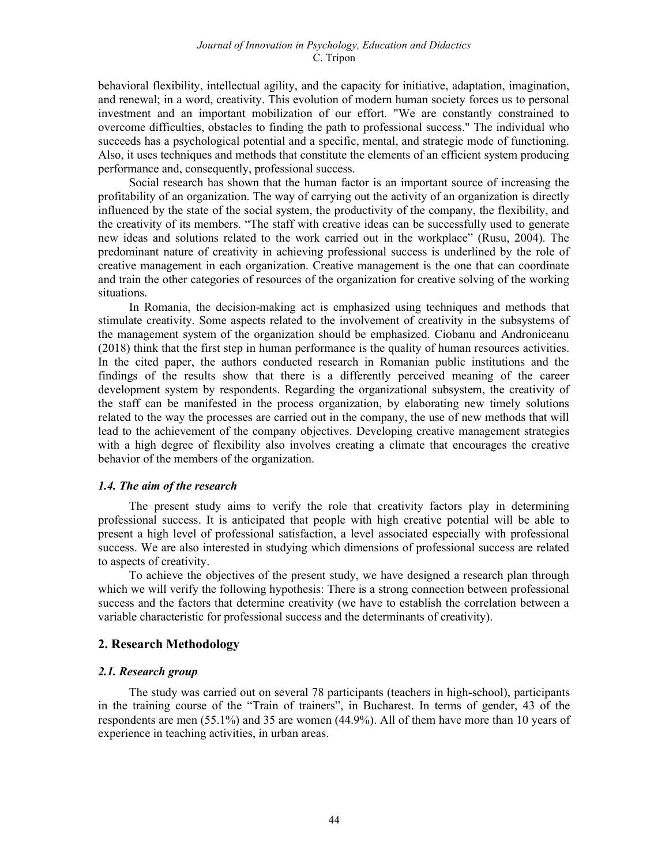behavioral flexibility, intellectual agility, and the capacity for initiative, adaptation, imagination, and renewal; in a word, creativity. This evolution of modern human society forces us to personal investment and an important mobilization of our effort. "We are constantly constrained to overcome difficulties, obstacles to finding the path to professional success." The individual who succeeds has a psychological potential and a specific, mental, and strategic mode of functioning. Also, it uses techniques and methods that constitute the elements of an efficient system producing performance and, consequently, professional success.

Social research has shown that the human factor is an important source of increasing the profitability of an organization. The way of carrying out the activity of an organization is directly influenced by the state of the social system, the productivity of the company, the flexibility, and the creativity of its members. "The staff with creative ideas can be successfully used to generate new ideas and solutions related to the work carried out in the workplace" (Rusu, 2004). The predominant nature of creativity in achieving professional success is underlined by the role of creative management in each organization. Creative management is the one that can coordinate and train the other categories of resources of the organization for creative solving of the working situations.

In Romania, the decision-making act is emphasized using techniques and methods that stimulate creativity. Some aspects related to the involvement of creativity in the subsystems of the management system of the organization should be emphasized. Ciobanu and Androniceanu (2018) think that the first step in human performance is the quality of human resources activities. In the cited paper, the authors conducted research in Romanian public institutions and the findings of the results show that there is a differently perceived meaning of the career development system by respondents. Regarding the organizational subsystem, the creativity of the staff can be manifested in the process organization, by elaborating new timely solutions related to the way the processes are carried out in the company, the use of new methods that will lead to the achievement of the company objectives. Developing creative management strategies with a high degree of flexibility also involves creating a climate that encourages the creative behavior of the members of the organization.

#### 1.4. The aim of the research

The present study aims to verify the role that creativity factors play in determining professional success. It is anticipated that people with high creative potential will be able to present a high level of professional satisfaction, a level associated especially with professional success. We are also interested in studying which dimensions of professional success are related to aspects of creativity.

To achieve the objectives of the present study, we have designed a research plan through which we will verify the following hypothesis: There is a strong connection between professional success and the factors that determine creativity (we have to establish the correlation between a variable characteristic for professional success and the determinants of creativity).

# 2. Research Methodology

# 2.1. Research group

The study was carried out on several 78 participants (teachers in high-school), participants in the training course of the "Train of trainers", in Bucharest. In terms of gender, 43 of the respondents are men (55.1%) and 35 are women (44.9%). All of them have more than 10 years of experience in teaching activities, in urban areas.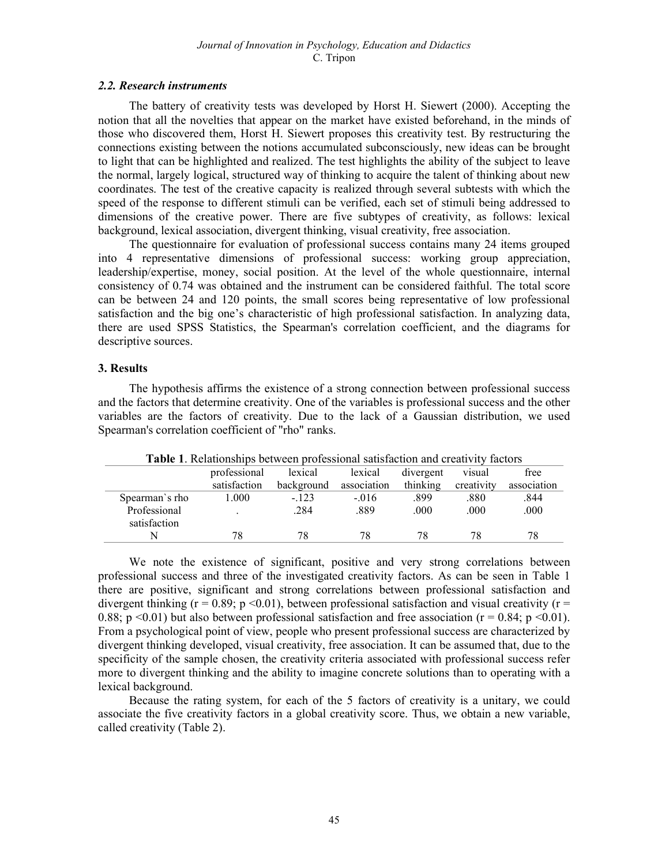#### 2.2. Research instruments

The battery of creativity tests was developed by Horst H. Siewert (2000). Accepting the notion that all the novelties that appear on the market have existed beforehand, in the minds of those who discovered them, Horst H. Siewert proposes this creativity test. By restructuring the connections existing between the notions accumulated subconsciously, new ideas can be brought to light that can be highlighted and realized. The test highlights the ability of the subject to leave the normal, largely logical, structured way of thinking to acquire the talent of thinking about new coordinates. The test of the creative capacity is realized through several subtests with which the speed of the response to different stimuli can be verified, each set of stimuli being addressed to dimensions of the creative power. There are five subtypes of creativity, as follows: lexical background, lexical association, divergent thinking, visual creativity, free association.

The questionnaire for evaluation of professional success contains many 24 items grouped into 4 representative dimensions of professional success: working group appreciation, leadership/expertise, money, social position. At the level of the whole questionnaire, internal consistency of 0.74 was obtained and the instrument can be considered faithful. The total score can be between 24 and 120 points, the small scores being representative of low professional satisfaction and the big one's characteristic of high professional satisfaction. In analyzing data, there are used SPSS Statistics, the Spearman's correlation coefficient, and the diagrams for descriptive sources.

# 3. Results

The hypothesis affirms the existence of a strong connection between professional success and the factors that determine creativity. One of the variables is professional success and the other variables are the factors of creativity. Due to the lack of a Gaussian distribution, we used Spearman's correlation coefficient of "rho" ranks.

| <b>Table 1.</b> Netationships between professional sausiaction and creativity factors |              |            |             |           |            |             |  |  |
|---------------------------------------------------------------------------------------|--------------|------------|-------------|-----------|------------|-------------|--|--|
|                                                                                       | professional | lexical    | lexical     | divergent | visual     | free        |  |  |
|                                                                                       | satisfaction | background | association | thinking  | creativity | association |  |  |
| Spearman's rho                                                                        | 1.000        | $-.123$    | $-.016$     | .899      | .880       | .844        |  |  |
| Professional<br>satisfaction                                                          |              | .284       | .889        | .000      | .000       | .000        |  |  |
|                                                                                       |              | 78         | 78          |           | 78         | 78          |  |  |

Table 1. Relationships between professional satisfaction and creativity factors

We note the existence of significant, positive and very strong correlations between professional success and three of the investigated creativity factors. As can be seen in Table 1 there are positive, significant and strong correlations between professional satisfaction and divergent thinking ( $r = 0.89$ ; p <0.01), between professional satisfaction and visual creativity ( $r =$ 0.88; p <0.01) but also between professional satisfaction and free association ( $r = 0.84$ ; p <0.01). From a psychological point of view, people who present professional success are characterized by divergent thinking developed, visual creativity, free association. It can be assumed that, due to the specificity of the sample chosen, the creativity criteria associated with professional success refer more to divergent thinking and the ability to imagine concrete solutions than to operating with a lexical background.

Because the rating system, for each of the 5 factors of creativity is a unitary, we could associate the five creativity factors in a global creativity score. Thus, we obtain a new variable, called creativity (Table 2).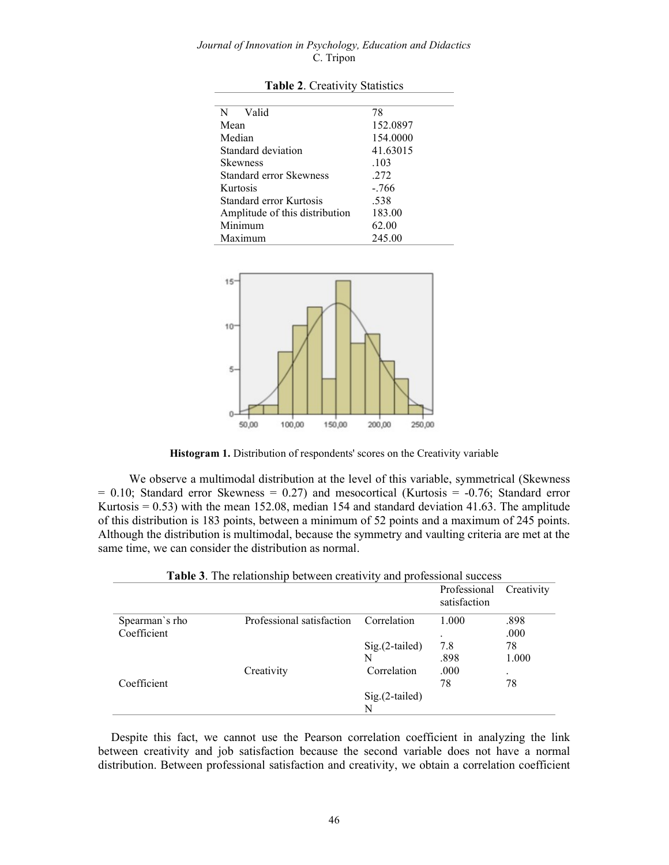#### Journal of Innovation in Psychology, Education and Didactics C. Tripon

| N Valid                        | 78       |  |  |
|--------------------------------|----------|--|--|
| Mean                           | 152.0897 |  |  |
| Median                         | 154.0000 |  |  |
| Standard deviation             | 41.63015 |  |  |
| <b>Skewness</b>                | .103     |  |  |
| <b>Standard error Skewness</b> | .272     |  |  |
| Kurtosis                       | $-.766$  |  |  |
| Standard error Kurtosis        | .538     |  |  |
| Amplitude of this distribution | 183.00   |  |  |
| Minimum                        | 62.00    |  |  |
| Maximum                        | 245.00   |  |  |

Table 2. Creativity Statistics



Histogram 1. Distribution of respondents' scores on the Creativity variable

We observe a multimodal distribution at the level of this variable, symmetrical (Skewness  $= 0.10$ ; Standard error Skewness  $= 0.27$ ) and mesocortical (Kurtosis  $= -0.76$ ; Standard error Kurtosis  $= 0.53$ ) with the mean 152.08, median 154 and standard deviation 41.63. The amplitude of this distribution is 183 points, between a minimum of 52 points and a maximum of 245 points. Although the distribution is multimodal, because the symmetry and vaulting criteria are met at the same time, we can consider the distribution as normal.

|                |                           |                  | Professional<br>satisfaction | Creativity |
|----------------|---------------------------|------------------|------------------------------|------------|
| Spearman's rho | Professional satisfaction | Correlation      | 1.000                        | .898       |
| Coefficient    |                           |                  | ٠                            | .000       |
|                |                           | $Sig.(2-tailed)$ | 7.8                          | 78         |
|                |                           | N                | .898                         | 1.000      |
|                | Creativity                | Correlation      | .000                         | $\cdot$    |
| Coefficient    |                           |                  | 78                           | 78         |
|                |                           | Sig.(2-tailed)   |                              |            |
|                |                           | N                |                              |            |

Table 3. The relationship between creativity and professional success

Despite this fact, we cannot use the Pearson correlation coefficient in analyzing the link between creativity and job satisfaction because the second variable does not have a normal distribution. Between professional satisfaction and creativity, we obtain a correlation coefficient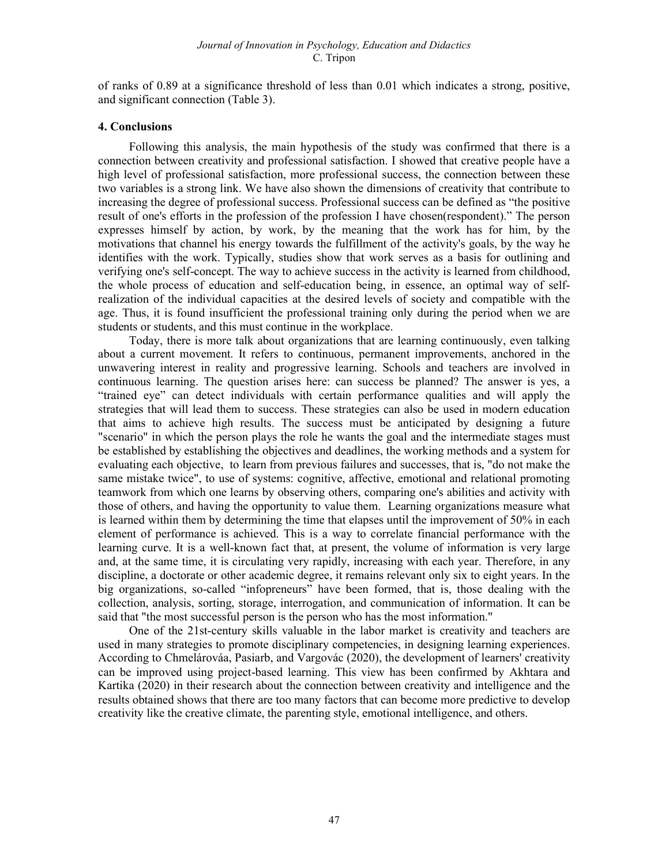of ranks of 0.89 at a significance threshold of less than 0.01 which indicates a strong, positive, and significant connection (Table 3).

#### 4. Conclusions

Following this analysis, the main hypothesis of the study was confirmed that there is a connection between creativity and professional satisfaction. I showed that creative people have a high level of professional satisfaction, more professional success, the connection between these two variables is a strong link. We have also shown the dimensions of creativity that contribute to increasing the degree of professional success. Professional success can be defined as "the positive result of one's efforts in the profession of the profession I have chosen(respondent)." The person expresses himself by action, by work, by the meaning that the work has for him, by the motivations that channel his energy towards the fulfillment of the activity's goals, by the way he identifies with the work. Typically, studies show that work serves as a basis for outlining and verifying one's self-concept. The way to achieve success in the activity is learned from childhood, the whole process of education and self-education being, in essence, an optimal way of selfrealization of the individual capacities at the desired levels of society and compatible with the age. Thus, it is found insufficient the professional training only during the period when we are students or students, and this must continue in the workplace.

Today, there is more talk about organizations that are learning continuously, even talking about a current movement. It refers to continuous, permanent improvements, anchored in the unwavering interest in reality and progressive learning. Schools and teachers are involved in continuous learning. The question arises here: can success be planned? The answer is yes, a "trained eye" can detect individuals with certain performance qualities and will apply the strategies that will lead them to success. These strategies can also be used in modern education that aims to achieve high results. The success must be anticipated by designing a future "scenario" in which the person plays the role he wants the goal and the intermediate stages must be established by establishing the objectives and deadlines, the working methods and a system for evaluating each objective, to learn from previous failures and successes, that is, "do not make the same mistake twice", to use of systems: cognitive, affective, emotional and relational promoting teamwork from which one learns by observing others, comparing one's abilities and activity with those of others, and having the opportunity to value them. Learning organizations measure what is learned within them by determining the time that elapses until the improvement of 50% in each element of performance is achieved. This is a way to correlate financial performance with the learning curve. It is a well-known fact that, at present, the volume of information is very large and, at the same time, it is circulating very rapidly, increasing with each year. Therefore, in any discipline, a doctorate or other academic degree, it remains relevant only six to eight years. In the big organizations, so-called "infopreneurs" have been formed, that is, those dealing with the collection, analysis, sorting, storage, interrogation, and communication of information. It can be said that "the most successful person is the person who has the most information."

One of the 21st-century skills valuable in the labor market is creativity and teachers are used in many strategies to promote disciplinary competencies, in designing learning experiences. According to Chmelárováa, Pasiarb, and Vargovác (2020), the development of learners' creativity can be improved using project-based learning. This view has been confirmed by Akhtara and Kartika (2020) in their research about the connection between creativity and intelligence and the results obtained shows that there are too many factors that can become more predictive to develop creativity like the creative climate, the parenting style, emotional intelligence, and others.